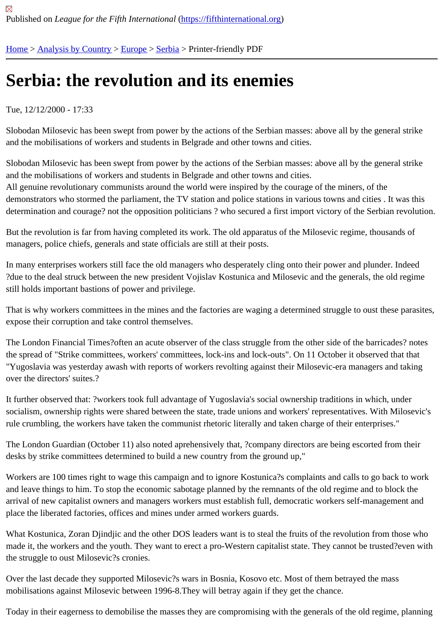# [Se](https://fifthinternational.org/)r[bia: the re](https://fifthinternational.org/category/1)[volut](https://fifthinternational.org/category/1/128)i[on](https://fifthinternational.org/category/1/128/168) and its enemies

#### Tue, 12/12/2000 - 17:33

Slobodan Milosevic has been swept from power by the actions of the Serbian masses: above all by the general str and the mobilisations of workers and students in Belgrade and other towns and cities.

Slobodan Milosevic has been swept from power by the actions of the Serbian masses: above all by the general str and the mobilisations of workers and students in Belgrade and other towns and cities. All genuine revolutionary communists around the world were inspired by the courage of the miners, of the demonstrators who stormed the parliament, the TV station and police stations in various towns and cities. It was t determination and courage? not the opposition politicians ? who secured a first import victory of the Serbian revolu

But the revolution is far from having completed its work. The old apparatus of the Milosevic regime, thousands of managers, police chiefs, generals and state officials are still at their posts.

In many enterprises workers still face the old managers who desperately cling onto their power and plunder. Indee ?due to the deal struck between the new president Vojislav Kostunica and Milosevic and the generals, the old regi still holds important bastions of power and privilege.

That is why workers committees in the mines and the factories are waging a determined struggle to oust these par expose their corruption and take control themselves.

The London Financial Times?often an acute observer of the class struggle from the other side of the barricades? n the spread of "Strike committees, workers' committees, lock-ins and lock-outs". On 11 October it observed that tha "Yugoslavia was yesterday awash with reports of workers revolting against their Milosevic-era managers and taking over the directors' suites.?

It further observed that: ?workers took full advantage of Yugoslavia's social ownership traditions in which, under socialism, ownership rights were shared between the state, trade unions and workers' representatives. With Milose rule crumbling, the workers have taken the communist rhetoric literally and taken charge of their enterprises."

The London Guardian (October 11) also noted aprehensively that, ?company directors are being escorted from the desks by strike committees determined to build a new country from the ground up,"

Workers are 100 times right to wage this campaign and to ignore Kostunica?s complaints and calls to go back to v and leave things to him. To stop the economic sabotage planned by the remnants of the old regime and to block th arrival of new capitalist owners and managers workers must establish full, democratic workers self-management a place the liberated factories, offices and mines under armed workers guards.

What Kostunica, Zoran Djindjic and the other DOS leaders want is to steal the fruits of the revolution from those w made it, the workers and the youth. They want to erect a pro-Western capitalist state. They cannot be trusted?eve the struggle to oust Milosevic?s cronies.

Over the last decade they supported Milosevic?s wars in Bosnia, Kosovo etc. Most of them betrayed the mass mobilisations against Milosevic between 1996-8.They will betray again if they get the chance.

Today in their eagerness to demobilise the masses they are compromising with the generals of the old regime, planning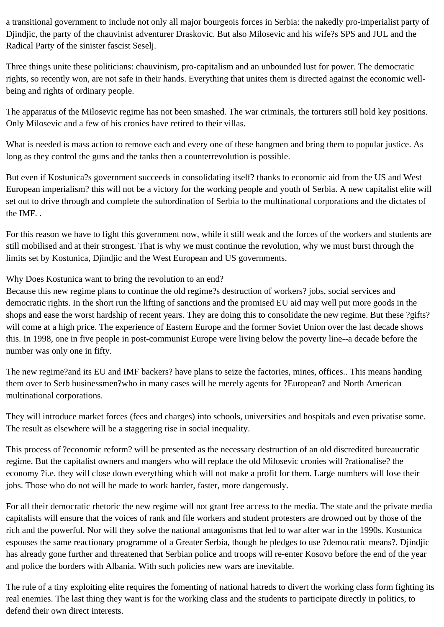a transitional government to include not only all major bourgeois forces in Serbia: the nakedly pro-imperialist party of Djindjic, the party of the chauvinist adventurer Draskovic. But also Milosevic and his wife?s SPS and JUL and the Radical Party of the sinister fascist Seselj.

Three things unite these politicians: chauvinism, pro-capitalism and an unbounded lust for power. The democratic rights, so recently won, are not safe in their hands. Everything that unites them is directed against the economic wellbeing and rights of ordinary people.

The apparatus of the Milosevic regime has not been smashed. The war criminals, the torturers still hold key positions. Only Milosevic and a few of his cronies have retired to their villas.

What is needed is mass action to remove each and every one of these hangmen and bring them to popular justice. As long as they control the guns and the tanks then a counterrevolution is possible.

But even if Kostunica?s government succeeds in consolidating itself? thanks to economic aid from the US and West European imperialism? this will not be a victory for the working people and youth of Serbia. A new capitalist elite will set out to drive through and complete the subordination of Serbia to the multinational corporations and the dictates of the IMF. .

For this reason we have to fight this government now, while it still weak and the forces of the workers and students are still mobilised and at their strongest. That is why we must continue the revolution, why we must burst through the limits set by Kostunica, Djindjic and the West European and US governments.

Why Does Kostunica want to bring the revolution to an end?

Because this new regime plans to continue the old regime?s destruction of workers? jobs, social services and democratic rights. In the short run the lifting of sanctions and the promised EU aid may well put more goods in the shops and ease the worst hardship of recent years. They are doing this to consolidate the new regime. But these ?gifts? will come at a high price. The experience of Eastern Europe and the former Soviet Union over the last decade shows this. In 1998, one in five people in post-communist Europe were living below the poverty line--a decade before the number was only one in fifty.

The new regime?and its EU and IMF backers? have plans to seize the factories, mines, offices.. This means handing them over to Serb businessmen?who in many cases will be merely agents for ?European? and North American multinational corporations.

They will introduce market forces (fees and charges) into schools, universities and hospitals and even privatise some. The result as elsewhere will be a staggering rise in social inequality.

This process of ?economic reform? will be presented as the necessary destruction of an old discredited bureaucratic regime. But the capitalist owners and mangers who will replace the old Milosevic cronies will ?rationalise? the economy ?i.e. they will close down everything which will not make a profit for them. Large numbers will lose their jobs. Those who do not will be made to work harder, faster, more dangerously.

For all their democratic rhetoric the new regime will not grant free access to the media. The state and the private media capitalists will ensure that the voices of rank and file workers and student protesters are drowned out by those of the rich and the powerful. Nor will they solve the national antagonisms that led to war after war in the 1990s. Kostunica espouses the same reactionary programme of a Greater Serbia, though he pledges to use ?democratic means?. Djindjic has already gone further and threatened that Serbian police and troops will re-enter Kosovo before the end of the year and police the borders with Albania. With such policies new wars are inevitable.

The rule of a tiny exploiting elite requires the fomenting of national hatreds to divert the working class form fighting its real enemies. The last thing they want is for the working class and the students to participate directly in politics, to defend their own direct interests.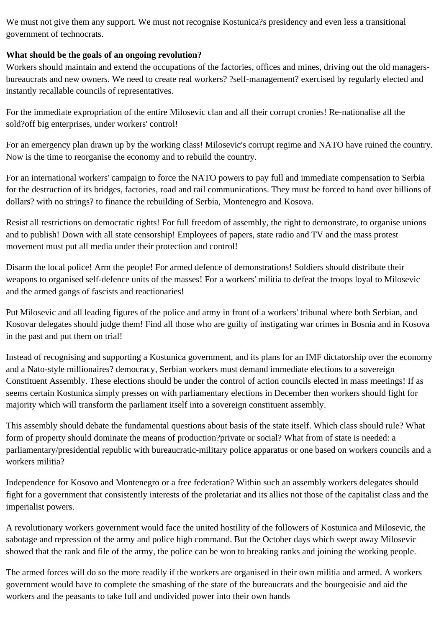We must not give them any support. We must not recognise Kostunica?s presidency and even less a transitional government of technocrats.

## **What should be the goals of an ongoing revolution?**

Workers should maintain and extend the occupations of the factories, offices and mines, driving out the old managersbureaucrats and new owners. We need to create real workers? ?self-management? exercised by regularly elected and instantly recallable councils of representatives.

For the immediate expropriation of the entire Milosevic clan and all their corrupt cronies! Re-nationalise all the sold?off big enterprises, under workers' control!

For an emergency plan drawn up by the working class! Milosevic's corrupt regime and NATO have ruined the country. Now is the time to reorganise the economy and to rebuild the country.

For an international workers' campaign to force the NATO powers to pay full and immediate compensation to Serbia for the destruction of its bridges, factories, road and rail communications. They must be forced to hand over billions of dollars? with no strings? to finance the rebuilding of Serbia, Montenegro and Kosova.

Resist all restrictions on democratic rights! For full freedom of assembly, the right to demonstrate, to organise unions and to publish! Down with all state censorship! Employees of papers, state radio and TV and the mass protest movement must put all media under their protection and control!

Disarm the local police! Arm the people! For armed defence of demonstrations! Soldiers should distribute their weapons to organised self-defence units of the masses! For a workers' militia to defeat the troops loyal to Milosevic and the armed gangs of fascists and reactionaries!

Put Milosevic and all leading figures of the police and army in front of a workers' tribunal where both Serbian, and Kosovar delegates should judge them! Find all those who are guilty of instigating war crimes in Bosnia and in Kosova in the past and put them on trial!

Instead of recognising and supporting a Kostunica government, and its plans for an IMF dictatorship over the economy and a Nato-style millionaires? democracy, Serbian workers must demand immediate elections to a sovereign Constituent Assembly. These elections should be under the control of action councils elected in mass meetings! If as seems certain Kostunica simply presses on with parliamentary elections in December then workers should fight for majority which will transform the parliament itself into a sovereign constituent assembly.

This assembly should debate the fundamental questions about basis of the state itself. Which class should rule? What form of property should dominate the means of production?private or social? What from of state is needed: a parliamentary/presidential republic with bureaucratic-military police apparatus or one based on workers councils and a workers militia?

Independence for Kosovo and Montenegro or a free federation? Within such an assembly workers delegates should fight for a government that consistently interests of the proletariat and its allies not those of the capitalist class and the imperialist powers.

A revolutionary workers government would face the united hostility of the followers of Kostunica and Milosevic, the sabotage and repression of the army and police high command. But the October days which swept away Milosevic showed that the rank and file of the army, the police can be won to breaking ranks and joining the working people.

The armed forces will do so the more readily if the workers are organised in their own militia and armed. A workers government would have to complete the smashing of the state of the bureaucrats and the bourgeoisie and aid the workers and the peasants to take full and undivided power into their own hands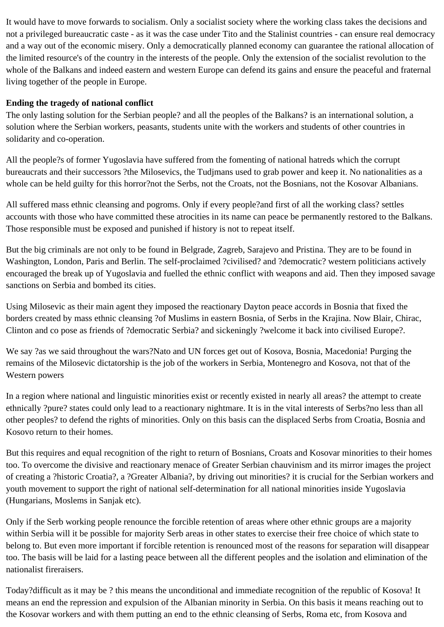It would have to move forwards to socialism. Only a socialist society where the working class takes the decisions and not a privileged bureaucratic caste - as it was the case under Tito and the Stalinist countries - can ensure real democracy and a way out of the economic misery. Only a democratically planned economy can guarantee the rational allocation of the limited resource's of the country in the interests of the people. Only the extension of the socialist revolution to the whole of the Balkans and indeed eastern and western Europe can defend its gains and ensure the peaceful and fraternal living together of the people in Europe.

#### **Ending the tragedy of national conflict**

The only lasting solution for the Serbian people? and all the peoples of the Balkans? is an international solution, a solution where the Serbian workers, peasants, students unite with the workers and students of other countries in solidarity and co-operation.

All the people?s of former Yugoslavia have suffered from the fomenting of national hatreds which the corrupt bureaucrats and their successors ?the Milosevics, the Tudjmans used to grab power and keep it. No nationalities as a whole can be held guilty for this horror?not the Serbs, not the Croats, not the Bosnians, not the Kosovar Albanians.

All suffered mass ethnic cleansing and pogroms. Only if every people?and first of all the working class? settles accounts with those who have committed these atrocities in its name can peace be permanently restored to the Balkans. Those responsible must be exposed and punished if history is not to repeat itself.

But the big criminals are not only to be found in Belgrade, Zagreb, Sarajevo and Pristina. They are to be found in Washington, London, Paris and Berlin. The self-proclaimed ?civilised? and ?democratic? western politicians actively encouraged the break up of Yugoslavia and fuelled the ethnic conflict with weapons and aid. Then they imposed savage sanctions on Serbia and bombed its cities.

Using Milosevic as their main agent they imposed the reactionary Dayton peace accords in Bosnia that fixed the borders created by mass ethnic cleansing ?of Muslims in eastern Bosnia, of Serbs in the Krajina. Now Blair, Chirac, Clinton and co pose as friends of ?democratic Serbia? and sickeningly ?welcome it back into civilised Europe?.

We say ?as we said throughout the wars?Nato and UN forces get out of Kosova, Bosnia, Macedonia! Purging the remains of the Milosevic dictatorship is the job of the workers in Serbia, Montenegro and Kosova, not that of the Western powers

In a region where national and linguistic minorities exist or recently existed in nearly all areas? the attempt to create ethnically ?pure? states could only lead to a reactionary nightmare. It is in the vital interests of Serbs?no less than all other peoples? to defend the rights of minorities. Only on this basis can the displaced Serbs from Croatia, Bosnia and Kosovo return to their homes.

But this requires and equal recognition of the right to return of Bosnians, Croats and Kosovar minorities to their homes too. To overcome the divisive and reactionary menace of Greater Serbian chauvinism and its mirror images the project of creating a ?historic Croatia?, a ?Greater Albania?, by driving out minorities? it is crucial for the Serbian workers and youth movement to support the right of national self-determination for all national minorities inside Yugoslavia (Hungarians, Moslems in Sanjak etc).

Only if the Serb working people renounce the forcible retention of areas where other ethnic groups are a majority within Serbia will it be possible for majority Serb areas in other states to exercise their free choice of which state to belong to. But even more important if forcible retention is renounced most of the reasons for separation will disappear too. The basis will be laid for a lasting peace between all the different peoples and the isolation and elimination of the nationalist fireraisers.

Today?difficult as it may be ? this means the unconditional and immediate recognition of the republic of Kosova! It means an end the repression and expulsion of the Albanian minority in Serbia. On this basis it means reaching out to the Kosovar workers and with them putting an end to the ethnic cleansing of Serbs, Roma etc, from Kosova and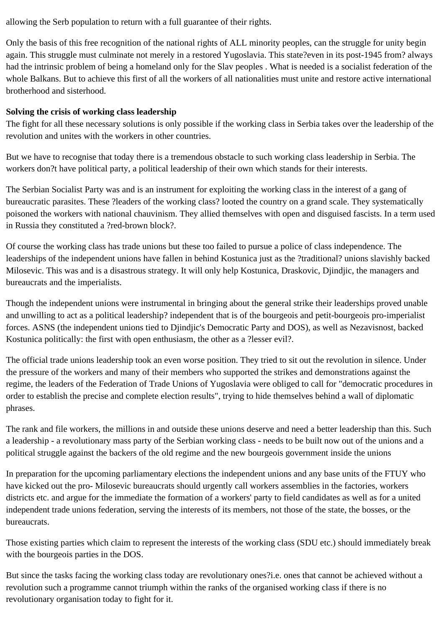allowing the Serb population to return with a full guarantee of their rights.

Only the basis of this free recognition of the national rights of ALL minority peoples, can the struggle for unity begin again. This struggle must culminate not merely in a restored Yugoslavia. This state?even in its post-1945 from? always had the intrinsic problem of being a homeland only for the Slav peoples . What is needed is a socialist federation of the whole Balkans. But to achieve this first of all the workers of all nationalities must unite and restore active international brotherhood and sisterhood.

## **Solving the crisis of working class leadership**

The fight for all these necessary solutions is only possible if the working class in Serbia takes over the leadership of the revolution and unites with the workers in other countries.

But we have to recognise that today there is a tremendous obstacle to such working class leadership in Serbia. The workers don?t have political party, a political leadership of their own which stands for their interests.

The Serbian Socialist Party was and is an instrument for exploiting the working class in the interest of a gang of bureaucratic parasites. These ?leaders of the working class? looted the country on a grand scale. They systematically poisoned the workers with national chauvinism. They allied themselves with open and disguised fascists. In a term used in Russia they constituted a ?red-brown block?.

Of course the working class has trade unions but these too failed to pursue a police of class independence. The leaderships of the independent unions have fallen in behind Kostunica just as the ?traditional? unions slavishly backed Milosevic. This was and is a disastrous strategy. It will only help Kostunica, Draskovic, Djindjic, the managers and bureaucrats and the imperialists.

Though the independent unions were instrumental in bringing about the general strike their leaderships proved unable and unwilling to act as a political leadership? independent that is of the bourgeois and petit-bourgeois pro-imperialist forces. ASNS (the independent unions tied to Djindjic's Democratic Party and DOS), as well as Nezavisnost, backed Kostunica politically: the first with open enthusiasm, the other as a ?lesser evil?.

The official trade unions leadership took an even worse position. They tried to sit out the revolution in silence. Under the pressure of the workers and many of their members who supported the strikes and demonstrations against the regime, the leaders of the Federation of Trade Unions of Yugoslavia were obliged to call for "democratic procedures in order to establish the precise and complete election results", trying to hide themselves behind a wall of diplomatic phrases.

The rank and file workers, the millions in and outside these unions deserve and need a better leadership than this. Such a leadership - a revolutionary mass party of the Serbian working class - needs to be built now out of the unions and a political struggle against the backers of the old regime and the new bourgeois government inside the unions

In preparation for the upcoming parliamentary elections the independent unions and any base units of the FTUY who have kicked out the pro- Milosevic bureaucrats should urgently call workers assemblies in the factories, workers districts etc. and argue for the immediate the formation of a workers' party to field candidates as well as for a united independent trade unions federation, serving the interests of its members, not those of the state, the bosses, or the bureaucrats.

Those existing parties which claim to represent the interests of the working class (SDU etc.) should immediately break with the bourgeois parties in the DOS.

But since the tasks facing the working class today are revolutionary ones?i.e. ones that cannot be achieved without a revolution such a programme cannot triumph within the ranks of the organised working class if there is no revolutionary organisation today to fight for it.